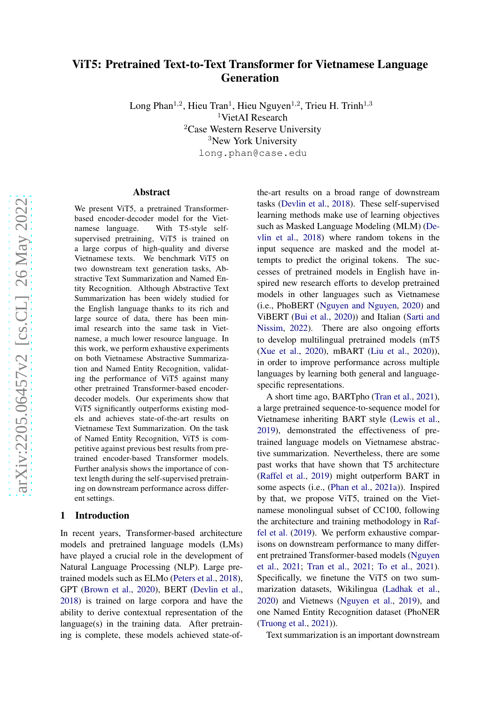# ViT5: Pretrained Text-to-Text Transformer for Vietnamese Language Generation

Long Phan<sup>1,2</sup>, Hieu Tran<sup>1</sup>, Hieu Nguyen<sup>1,2</sup>, Trieu H. Trinh<sup>1,3</sup> <sup>1</sup>VietAI Research <sup>2</sup>Case Western Reserve University <sup>3</sup>New York University long.phan@case.edu

#### Abstract

We present ViT5, a pretrained Transformerbased encoder-decoder model for the Vietnamese language. With T5-style selfsupervised pretraining, ViT5 is trained on a large corpus of high-quality and diverse Vietnamese texts. We benchmark ViT5 on two downstream text generation tasks, Abstractive Text Summarization and Named Entity Recognition. Although Abstractive Text Summarization has been widely studied for the English language thanks to its rich and large source of data, there has been minimal research into the same task in Vietnamese, a much lower resource language. In this work, we perform exhaustive experiments on both Vietnamese Abstractive Summarization and Named Entity Recognition, validating the performance of ViT5 against many other pretrained Transformer-based encoderdecoder models. Our experiments show that ViT5 significantly outperforms existing models and achieves state-of-the-art results on Vietnamese Text Summarization. On the task of Named Entity Recognition, ViT5 is competitive against previous best results from pretrained encoder-based Transformer models. Further analysis shows the importance of context length during the self-supervised pretraining on downstream performance across different settings.

## <span id="page-0-0"></span>1 Introduction

In recent years, Transformer-based architecture models and pretrained language models (LMs) have played a crucial role in the development of Natural Language Processing (NLP). Large pretrained models such as ELMo [\(Peters et al.,](#page-6-0) [2018\)](#page-6-0), GPT [\(Brown et al.,](#page-5-0) [2020](#page-5-0)), BERT [\(Devlin et al.,](#page-5-1) [2018\)](#page-5-1) is trained on large corpora and have the ability to derive contextual representation of the language(s) in the training data. After pretraining is complete, these models achieved state-of-

the-art results on a broad range of downstream tasks [\(Devlin et al.,](#page-5-1) [2018](#page-5-1)). These self-supervised learning methods make use of learning objectives such as M[asked Language Modeling \(MLM\) \(](#page-5-1)Devlin et al., [2018\)](#page-5-1) where random tokens in the input sequence are masked and the model attempts to predict the original tokens. The successes of pretrained models in English have inspired new research efforts to develop pretrained models in other languages such as Vietnamese (i.e., PhoBERT [\(Nguyen and Nguyen](#page-6-1), [2020](#page-6-1)) and ViBERT [\(Bui et al.,](#page-5-2) [2020](#page-5-2)[\)\) and Italian \(](#page-6-2)Sarti and Nissim, [2022\)](#page-6-2). There are also ongoing efforts to develop multilingual pretrained models (mT5 [\(Xue et al.](#page-6-3), [2020](#page-6-3)), mBART [\(Liu et al.](#page-6-4), [2020](#page-6-4))), in order to improve performance across multiple languages by learning both general and languagespecific representations.

A short time ago, BARTpho [\(Tran et al.,](#page-6-5) [2021](#page-6-5)), a large pretrained sequence-to-sequence model for Vietnamese inheriting BART style [\(Lewis et al.,](#page-5-3) [2019\)](#page-5-3), demonstrated the effectiveness of pretrained language models on Vietnamese abstractive summarization. Nevertheless, there are some past works that have shown that T5 architecture [\(Raffel et al.,](#page-6-6) [2019](#page-6-6)) might outperform BART in some aspects (i.e., [\(Phan et al.,](#page-6-7) [2021a](#page-6-7))). Inspired by that, we propose ViT5, trained on the Vietnamese monolingual subset of CC100, following the arch[itecture and training methodology in](#page-6-6) Raffel et al. [\(2019](#page-6-6)). We perform exhaustive comparisons on downstream performance to many different p[retrained Transformer-based models \(](#page-6-8)Nguyen et al., [2021](#page-6-8); [Tran et al.,](#page-6-5) [2021;](#page-6-5) [To et al.](#page-6-9), [2021](#page-6-9)). Specifically, we finetune the ViT5 on two summarization datasets, Wikilingua [\(Ladhak et al.,](#page-5-4) [2020\)](#page-5-4) and Vietnews [\(Nguyen et al.,](#page-6-10) [2019](#page-6-10)), and one Named Entity Recognition dataset (PhoNER [\(Truong et al.](#page-6-11), [2021\)](#page-6-11)).

Text summarization is an important downstream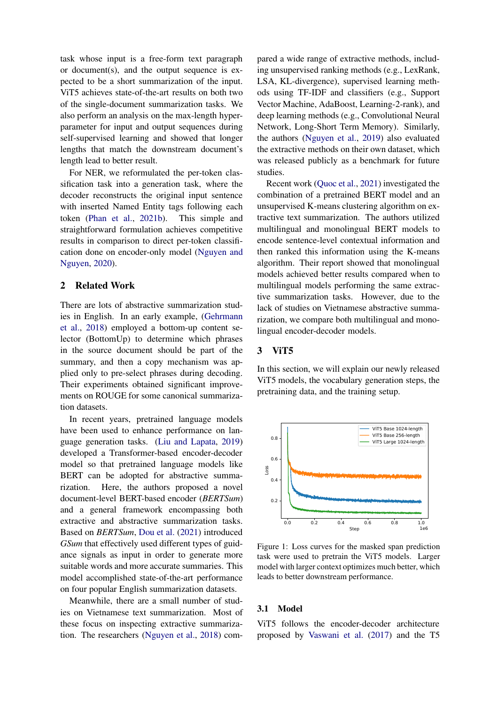task whose input is a free-form text paragraph or document(s), and the output sequence is expected to be a short summarization of the input. ViT5 achieves state-of-the-art results on both two of the single-document summarization tasks. We also perform an analysis on the max-length hyperparameter for input and output sequences during self-supervised learning and showed that longer lengths that match the downstream document's length lead to better result.

For NER, we reformulated the per-token classification task into a generation task, where the decoder reconstructs the original input sentence with inserted Named Entity tags following each token [\(Phan et al.](#page-6-12), [2021b\)](#page-6-12). This simple and straightforward formulation achieves competitive results in comparison to direct per-token classification [done on encoder-only model \(](#page-6-1)Nguyen and Nguyen, [2020\)](#page-6-1).

## 2 Related Work

There are lots of abstractive summarization studies i[n English. In an early example, \(](#page-5-5)Gehrmann et al., [2018](#page-5-5)) employed a bottom-up content selector (BottomUp) to determine which phrases in the source document should be part of the summary, and then a copy mechanism was applied only to pre-select phrases during decoding. Their experiments obtained significant improvements on ROUGE for some canonical summarization datasets.

In recent years, pretrained language models have been used to enhance performance on language generation tasks. [\(Liu and Lapata,](#page-6-13) [2019](#page-6-13)) developed a Transformer-based encoder-decoder model so that pretrained language models like BERT can be adopted for abstractive summarization. Here, the authors proposed a novel document-level BERT-based encoder (*BERTSum*) and a general framework encompassing both extractive and abstractive summarization tasks. Based on *BERTSum*, [Dou et al.](#page-5-6) [\(2021\)](#page-5-6) introduced *GSum* that effectively used different types of guidance signals as input in order to generate more suitable words and more accurate summaries. This model accomplished state-of-the-art performance on four popular English summarization datasets.

Meanwhile, there are a small number of studies on Vietnamese text summarization. Most of these focus on inspecting extractive summarization. The researchers [\(Nguyen et al.,](#page-6-14) [2018\)](#page-6-14) compared a wide range of extractive methods, including unsupervised ranking methods (e.g., LexRank, LSA, KL-divergence), supervised learning methods using TF-IDF and classifiers (e.g., Support Vector Machine, AdaBoost, Learning-2-rank), and deep learning methods (e.g., Convolutional Neural Network, Long-Short Term Memory). Similarly, the authors [\(Nguyen et al.](#page-6-10), [2019\)](#page-6-10) also evaluated the extractive methods on their own dataset, which was released publicly as a benchmark for future studies.

Recent work [\(Quoc et al.](#page-6-15), [2021\)](#page-6-15) investigated the combination of a pretrained BERT model and an unsupervised K-means clustering algorithm on extractive text summarization. The authors utilized multilingual and monolingual BERT models to encode sentence-level contextual information and then ranked this information using the K-means algorithm. Their report showed that monolingual models achieved better results compared when to multilingual models performing the same extractive summarization tasks. However, due to the lack of studies on Vietnamese abstractive summarization, we compare both multilingual and monolingual encoder-decoder models.

#### 3 ViT5

In this section, we will explain our newly released ViT5 models, the vocabulary generation steps, the pretraining data, and the training setup.

<span id="page-1-0"></span>

Figure 1: Loss curves for the masked span prediction task were used to pretrain the ViT5 models. Larger model with larger context optimizes much better, which leads to better downstream performance.

#### 3.1 Model

ViT5 follows the encoder-decoder architecture proposed by [Vaswani et al.](#page-6-16) [\(2017\)](#page-6-16) and the T5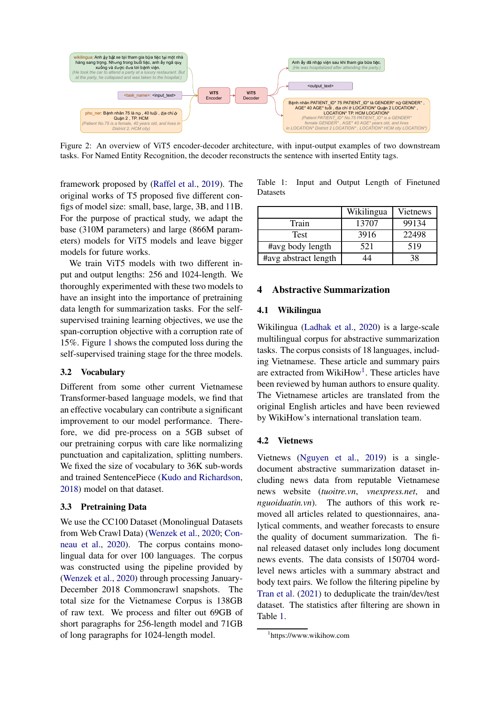<span id="page-2-2"></span>

Figure 2: An overview of ViT5 encoder-decoder architecture, with input-output examples of two downstream tasks. For Named Entity Recognition, the decoder reconstructs the sentence with inserted Entity tags.

framework proposed by [\(Raffel et al.,](#page-6-6) [2019](#page-6-6)). The original works of T5 proposed five different configs of model size: small, base, large, 3B, and 11B. For the purpose of practical study, we adapt the base (310M parameters) and large (866M parameters) models for ViT5 models and leave bigger models for future works.

We train ViT5 models with two different input and output lengths: 256 and 1024-length. We thoroughly experimented with these two models to have an insight into the importance of pretraining data length for summarization tasks. For the selfsupervised training learning objectives, we use the span-corruption objective with a corruption rate of 15%. Figure [1](#page-1-0) shows the computed loss during the self-supervised training stage for the three models.

## 3.2 Vocabulary

Different from some other current Vietnamese Transformer-based language models, we find that an effective vocabulary can contribute a significant improvement to our model performance. Therefore, we did pre-process on a 5GB subset of our pretraining corpus with care like normalizing punctuation and capitalization, splitting numbers. We fixed the size of vocabulary to 36K sub-words and trained SentencePiece [\(Kudo and Richardson](#page-5-7), [2018\)](#page-5-7) model on that dataset.

## 3.3 Pretraining Data

We use the CC100 Dataset (Monolingual Datasets from Web [Crawl Data\)](#page-5-8) [\(Wenzek et al.](#page-6-17)[,](#page-5-8) [2020;](#page-6-17) Conneau et al., [2020\)](#page-5-8). The corpus contains monolingual data for over 100 languages. The corpus was constructed using the pipeline provided by [\(Wenzek et al.,](#page-6-17) [2020\)](#page-6-17) through processing January-December 2018 Commoncrawl snapshots. The total size for the Vietnamese Corpus is 138GB of raw text. We process and filter out 69GB of short paragraphs for 256-length model and 71GB of long paragraphs for 1024-length model.

<span id="page-2-1"></span>

|                 |  |  |  | Table 1: Input and Output Length of Finetuned |
|-----------------|--|--|--|-----------------------------------------------|
| <b>Datasets</b> |  |  |  |                                               |

|                      | Wikilingua | Vietnews |
|----------------------|------------|----------|
| Train                | 13707      | 99134    |
| <b>Test</b>          | 3916       | 22498    |
| #avg body length     | 521        | 519      |
| #avg abstract length |            | 38       |

## 4 Abstractive Summarization

## 4.1 Wikilingua

Wikilingua [\(Ladhak et al.,](#page-5-4) [2020\)](#page-5-4) is a large-scale multilingual corpus for abstractive summarization tasks. The corpus consists of 18 languages, including Vietnamese. These article and summary pairs are extracted from WikiHow<sup>[1](#page-2-0)</sup>. These articles have been reviewed by human authors to ensure quality. The Vietnamese articles are translated from the original English articles and have been reviewed by WikiHow's international translation team.

#### 4.2 Vietnews

Vietnews [\(Nguyen et al.](#page-6-10), [2019\)](#page-6-10) is a singledocument abstractive summarization dataset including news data from reputable Vietnamese news website (*tuoitre.vn*, *vnexpress.net*, and *nguoiduatin.vn*). The authors of this work removed all articles related to questionnaires, analytical comments, and weather forecasts to ensure the quality of document summarization. The final released dataset only includes long document news events. The data consists of 150704 wordlevel news articles with a summary abstract and body text pairs. We follow the filtering pipeline by [Tran et al.](#page-6-5) [\(2021\)](#page-6-5) to deduplicate the train/dev/test dataset. The statistics after filtering are shown in Table [1.](#page-2-1)

<span id="page-2-0"></span><sup>1</sup> https://www.wikihow.com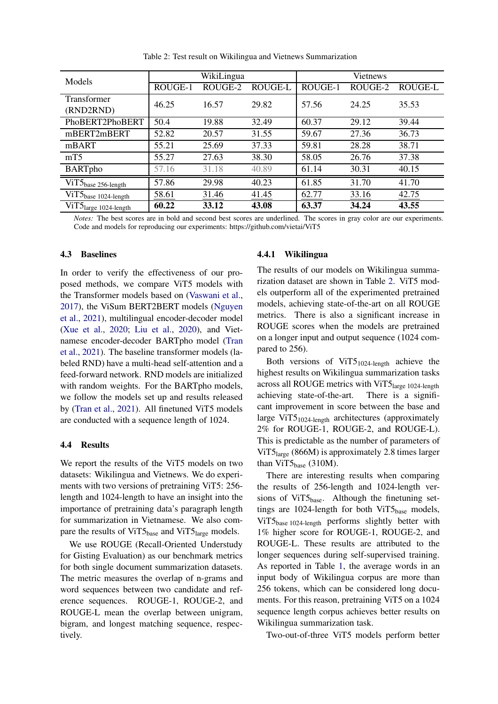<span id="page-3-0"></span>

| Models                            |         | WikiLingua |                | <b>Vietnews</b> |         |                |  |
|-----------------------------------|---------|------------|----------------|-----------------|---------|----------------|--|
|                                   | ROUGE-1 | ROUGE-2    | <b>ROUGE-L</b> | ROUGE-1         | ROUGE-2 | <b>ROUGE-L</b> |  |
| Transformer                       | 46.25   | 16.57      | 29.82          | 57.56           | 24.25   | 35.53          |  |
| (RND2RND)                         |         |            |                |                 |         |                |  |
| PhoBERT2PhoBERT                   | 50.4    | 19.88      | 32.49          | 60.37           | 29.12   | 39.44          |  |
| mBERT2mBERT                       | 52.82   | 20.57      | 31.55          | 59.67           | 27.36   | 36.73          |  |
| mBART                             | 55.21   | 25.69      | 37.33          | 59.81           | 28.28   | 38.71          |  |
| mT <sub>5</sub>                   | 55.27   | 27.63      | 38.30          | 58.05           | 26.76   | 37.38          |  |
| <b>BARTpho</b>                    | 57.16   | 31.18      | 40.89          | 61.14           | 30.31   | 40.15          |  |
| ViT5 <sub>base 256-length</sub>   | 57.86   | 29.98      | 40.23          | 61.85           | 31.70   | 41.70          |  |
| ViT5 <sub>base 1024-length</sub>  | 58.61   | 31.46      | 41.45          | 62.77           | 33.16   | 42.75          |  |
| ViT5 <sub>large</sub> 1024-length | 60.22   | 33.12      | 43.08          | 63.37           | 34.24   | 43.55          |  |

Table 2: Test result on Wikilingua and Vietnews Summarization

*Notes:* The best scores are in bold and second best scores are underlined. The scores in gray color are our experiments. Code and models for reproducing our experiments: https://github.com/vietai/ViT5

#### 4.3 Baselines

In order to verify the effectiveness of our proposed methods, we compare ViT5 models with the Transformer models based on [\(Vaswani et al.,](#page-6-16) [2017\)](#page-6-16)[, the ViSum BERT2BERT models \(](#page-6-8)Nguyen et al., [2021](#page-6-8)), multilingual encoder-decoder model [\(Xue et al.,](#page-6-3) [2020;](#page-6-3) [Liu et al.](#page-6-4), [2020\)](#page-6-4), and Vietnam[ese encoder-decoder BARTpho model \(](#page-6-5)Tran et al., [2021\)](#page-6-5). The baseline transformer models (labeled RND) have a multi-head self-attention and a feed-forward network. RND models are initialized with random weights. For the BARTpho models, we follow the models set up and results released by [\(Tran et al.](#page-6-5), [2021\)](#page-6-5). All finetuned ViT5 models are conducted with a sequence length of 1024.

#### <span id="page-3-1"></span>4.4 Results

We report the results of the ViT5 models on two datasets: Wikilingua and Vietnews. We do experiments with two versions of pretraining ViT5: 256 length and 1024-length to have an insight into the importance of pretraining data's paragraph length for summarization in Vietnamese. We also compare the results of ViT $5<sub>base</sub>$  and ViT $5<sub>large</sub>$  models.

We use ROUGE (Recall-Oriented Understudy for Gisting Evaluation) as our benchmark metrics for both single document summarization datasets. The metric measures the overlap of n-grams and word sequences between two candidate and reference sequences. ROUGE-1, ROUGE-2, and ROUGE-L mean the overlap between unigram, bigram, and longest matching sequence, respectively.

#### <span id="page-3-2"></span>4.4.1 Wikilingua

The results of our models on Wikilingua summarization dataset are shown in Table [2.](#page-3-0) ViT5 models outperform all of the experimented pretrained models, achieving state-of-the-art on all ROUGE metrics. There is also a significant increase in ROUGE scores when the models are pretrained on a longer input and output sequence (1024 compared to 256).

Both versions of  $ViT5_{1024-length}$  achieve the highest results on Wikilingua summarization tasks across all ROUGE metrics with ViT5large 1024-length achieving state-of-the-art. There is a significant improvement in score between the base and large ViT5<sub>1024-length</sub> architectures (approximately 2% for ROUGE-1, ROUGE-2, and ROUGE-L). This is predictable as the number of parameters of ViT5 $_{\text{large}}$  (866M) is approximately 2.8 times larger than  $ViT5_{base}$  (310M).

There are interesting results when comparing the results of 256-length and 1024-length versions of ViT5 $_{base}$ . Although the finetuning settings are  $1024$ -length for both ViT $5<sub>base</sub>$  models, ViT5base 1024-length performs slightly better with 1% higher score for ROUGE-1, ROUGE-2, and ROUGE-L. These results are attributed to the longer sequences during self-supervised training. As reported in Table [1,](#page-2-1) the average words in an input body of Wikilingua corpus are more than 256 tokens, which can be considered long documents. For this reason, pretraining ViT5 on a 1024 sequence length corpus achieves better results on Wikilingua summarization task.

Two-out-of-three ViT5 models perform better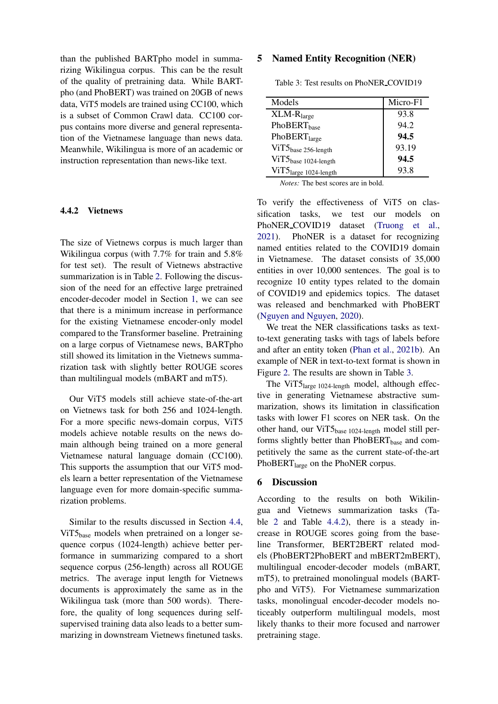than the published BARTpho model in summarizing Wikilingua corpus. This can be the result of the quality of pretraining data. While BARTpho (and PhoBERT) was trained on 20GB of news data, ViT5 models are trained using CC100, which is a subset of Common Crawl data. CC100 corpus contains more diverse and general representation of the Vietnamese language than news data. Meanwhile, Wikilingua is more of an academic or instruction representation than news-like text.

#### <span id="page-4-1"></span>4.4.2 Vietnews

The size of Vietnews corpus is much larger than Wikilingua corpus (with 7.7% for train and 5.8% for test set). The result of Vietnews abstractive summarization is in Table [2.](#page-3-0) Following the discussion of the need for an effective large pretrained encoder-decoder model in Section [1,](#page-0-0) we can see that there is a minimum increase in performance for the existing Vietnamese encoder-only model compared to the Transformer baseline. Pretraining on a large corpus of Vietnamese news, BARTpho still showed its limitation in the Vietnews summarization task with slightly better ROUGE scores than multilingual models (mBART and mT5).

Our ViT5 models still achieve state-of-the-art on Vietnews task for both 256 and 1024-length. For a more specific news-domain corpus, ViT5 models achieve notable results on the news domain although being trained on a more general Vietnamese natural language domain (CC100). This supports the assumption that our ViT5 models learn a better representation of the Vietnamese language even for more domain-specific summarization problems.

Similar to the results discussed in Section [4.4,](#page-3-1) ViT5<sub>base</sub> models when pretrained on a longer sequence corpus (1024-length) achieve better performance in summarizing compared to a short sequence corpus (256-length) across all ROUGE metrics. The average input length for Vietnews documents is approximately the same as in the Wikilingua task (more than 500 words). Therefore, the quality of long sequences during selfsupervised training data also leads to a better summarizing in downstream Vietnews finetuned tasks.

## 5 Named Entity Recognition (NER)

<span id="page-4-0"></span>

| Models                           | Micro-F1 |
|----------------------------------|----------|
| $XLM-Rlarge$                     | 93.8     |
| PhoBERT <sub>base</sub>          | 94.2     |
| PhoBERT <sub>large</sub>         | 94.5     |
| $ViT5_{base\ 256-length}$        | 93.19    |
| ViT5 <sub>base 1024-length</sub> | 94.5     |
| ViT5large 1024-length            | 93.8     |
|                                  |          |

Table 3: Test results on PhoNER COVID19

*Notes:* The best scores are in bold.

To verify the effectiveness of ViT5 on classification tasks, we test our models on PhoNER COVID19 dataset [\(Truong et al.,](#page-6-11) [2021\)](#page-6-11). PhoNER is a dataset for recognizing named entities related to the COVID19 domain in Vietnamese. The dataset consists of 35,000 entities in over 10,000 sentences. The goal is to recognize 10 entity types related to the domain of COVID19 and epidemics topics. The dataset was released and benchmarked with PhoBERT [\(Nguyen and Nguyen,](#page-6-1) [2020](#page-6-1)).

We treat the NER classifications tasks as textto-text generating tasks with tags of labels before and after an entity token [\(Phan et al.](#page-6-12), [2021b](#page-6-12)). An example of NER in text-to-text format is shown in Figure [2.](#page-2-2) The results are shown in Table [3.](#page-4-0)

The ViT5<sub>large 1024-length</sub> model, although effective in generating Vietnamese abstractive summarization, shows its limitation in classification tasks with lower F1 scores on NER task. On the other hand, our ViT5base 1024-length model still performs slightly better than PhoBERT<sub>base</sub> and competitively the same as the current state-of-the-art PhoBERT<sub>large</sub> on the PhoNER corpus.

## 6 Discussion

According to the results on both Wikilingua and Vietnews summarization tasks (Table [2](#page-3-0) and Table [4.4.2\)](#page-4-1), there is a steady increase in ROUGE scores going from the baseline Transformer, BERT2BERT related models (PhoBERT2PhoBERT and mBERT2mBERT), multilingual encoder-decoder models (mBART, mT5), to pretrained monolingual models (BARTpho and ViT5). For Vietnamese summarization tasks, monolingual encoder-decoder models noticeably outperform multilingual models, most likely thanks to their more focused and narrower pretraining stage.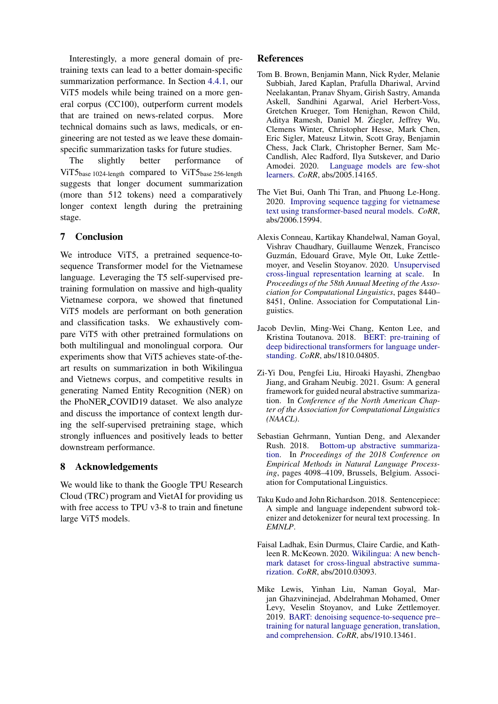Interestingly, a more general domain of pretraining texts can lead to a better domain-specific summarization performance. In Section [4.4.1,](#page-3-2) our ViT5 models while being trained on a more general corpus (CC100), outperform current models that are trained on news-related corpus. More technical domains such as laws, medicals, or engineering are not tested as we leave these domainspecific summarization tasks for future studies.

The slightly better performance of ViT $5<sub>base 1024</sub>$ -length compared to ViT $5<sub>base 256</sub>$ -length suggests that longer document summarization (more than 512 tokens) need a comparatively longer context length during the pretraining stage.

## 7 Conclusion

We introduce ViT5, a pretrained sequence-tosequence Transformer model for the Vietnamese language. Leveraging the T5 self-supervised pretraining formulation on massive and high-quality Vietnamese corpora, we showed that finetuned ViT5 models are performant on both generation and classification tasks. We exhaustively compare ViT5 with other pretrained formulations on both multilingual and monolingual corpora. Our experiments show that ViT5 achieves state-of-theart results on summarization in both Wikilingua and Vietnews corpus, and competitive results in generating Named Entity Recognition (NER) on the PhoNER COVID19 dataset. We also analyze and discuss the importance of context length during the self-supervised pretraining stage, which strongly influences and positively leads to better downstream performance.

## 8 Acknowledgements

We would like to thank the Google TPU Research Cloud (TRC) program and VietAI for providing us with free access to TPU v3-8 to train and finetune large ViT5 models.

## References

- <span id="page-5-0"></span>Tom B. Brown, Benjamin Mann, Nick Ryder, Melanie Subbiah, Jared Kaplan, Prafulla Dhariwal, Arvind Neelakantan, Pranav Shyam, Girish Sastry, Amanda Askell, Sandhini Agarwal, Ariel Herbert-Voss, Gretchen Krueger, Tom Henighan, Rewon Child, Aditya Ramesh, Daniel M. Ziegler, Jeffrey Wu, Clemens Winter, Christopher Hesse, Mark Chen, Eric Sigler, Mateusz Litwin, Scott Gray, Benjamin Chess, Jack Clark, Christopher Berner, Sam Mc-Candlish, Alec Radford, Ilya Sutskever, and Dario Amodei. 2020. Language models are few-shot learners. *CoRR*, abs/2005.14165.
- <span id="page-5-2"></span>The Viet Bui, Oanh Thi Tran, and Phuong Le-Hong. 2020. Improving sequence tagging for vietnamese text using transformer-based neural models. *CoRR*, abs/2006.15994.
- <span id="page-5-8"></span>Alexis Conneau, Kartikay Khandelwal, Naman Goyal, Vishrav Chaudhary, Guillaume Wenzek, Francisco Guzmán, Edouard Grave, Myle Ott, Luke Zettlemoyer, and Veselin Stoyanov. 2020. Unsupervised cross-lingual representation learning at scale. In *Proceedings of the 58th Annual Meeting of the Association for Computational Linguistics*, pages 8440– 8451, Online. Association for Computational Linguistics.
- <span id="page-5-1"></span>Jacob Devlin, Ming-Wei Chang, Kenton Lee, and Kristina Toutanova. 2018. BERT: pre-training of deep bid[irectional transforme](http://arxiv.org/abs/1810.04805)rs for language understanding. *CoRR*, abs/1810.04805.
- <span id="page-5-6"></span>Zi-Yi Dou, Pengfei Liu, Hiroaki Hayashi, Zhengbao Jiang, and Graham Neubig. 2021. Gsum: A general framework for guided neural abstractive summarization. In *Conference of the North American Chapter of the Association for Computational Linguistics (NAACL)*.
- <span id="page-5-5"></span>Sebastian Gehrmann, Yuntian Deng, and Alexander Rush. 2018. Bottom-up abstractive summarization. In *Proceedings of the 2018 Conference on Empirical Methods in Natural Language Processing*, pages 4098–4109, Brussels, Belgium. Association for Computational Linguistics.
- <span id="page-5-7"></span>Taku Kudo and John Richardson. 2018. Sentencepiece: A simple and language independent subword tokenizer and detokenizer for neural text processing. In *EMNLP*.
- <span id="page-5-4"></span>Faisal Ladhak, Esin Durmus, Claire Cardie, and Kathleen R. McKeown. 2020. Wikilingua: A new benchmark d[ataset for cross-li](http://arxiv.org/abs/2010.03093)ngual abstractive summarization. *CoRR*, abs/2010.03093.
- <span id="page-5-3"></span>Mike Lewis, Yinhan Liu, Naman Goyal, Marjan Ghazvininejad, Abdelrahman Mohamed, Omer Levy, Veselin Stoyanov, and Luke Zettlemoyer. 2019. BART: denoising sequence-to-sequence pre– traini[ng for natural l](http://arxiv.org/abs/1910.13461)anguage generation, translation, and comprehension. *CoRR*, abs/1910.13461.